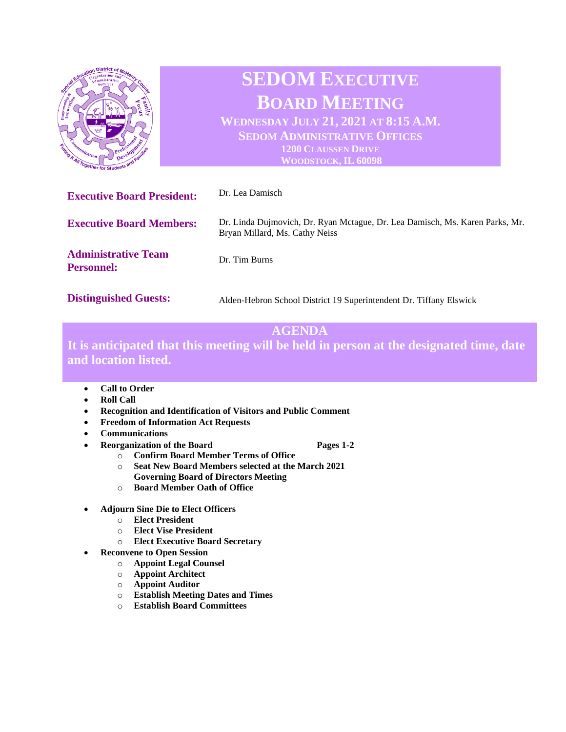

# **AGENDA**

**It is anticipated that this meeting will be held in person at the designated time, date and location listed.** 

- **Call to Order**
- **Roll Call**
- **Recognition and Identification of Visitors and Public Comment**
- **Freedom of Information Act Requests**
- **Communications**
- **Pages 1-2 Pages 1-2** 
	-
	- o **Confirm Board Member Terms of Office**
	- o **Seat New Board Members selected at the March 2021 Governing Board of Directors Meeting**
	- o **Board Member Oath of Office**
- **Adjourn Sine Die to Elect Officers**
	- o **Elect President**
	- o **Elect Vise President**
	- o **Elect Executive Board Secretary**
	- **Reconvene to Open Session**
		- o **Appoint Legal Counsel**
		- o **Appoint Architect**
		- o **Appoint Auditor**
		- o **Establish Meeting Dates and Times**
		- o **Establish Board Committees**